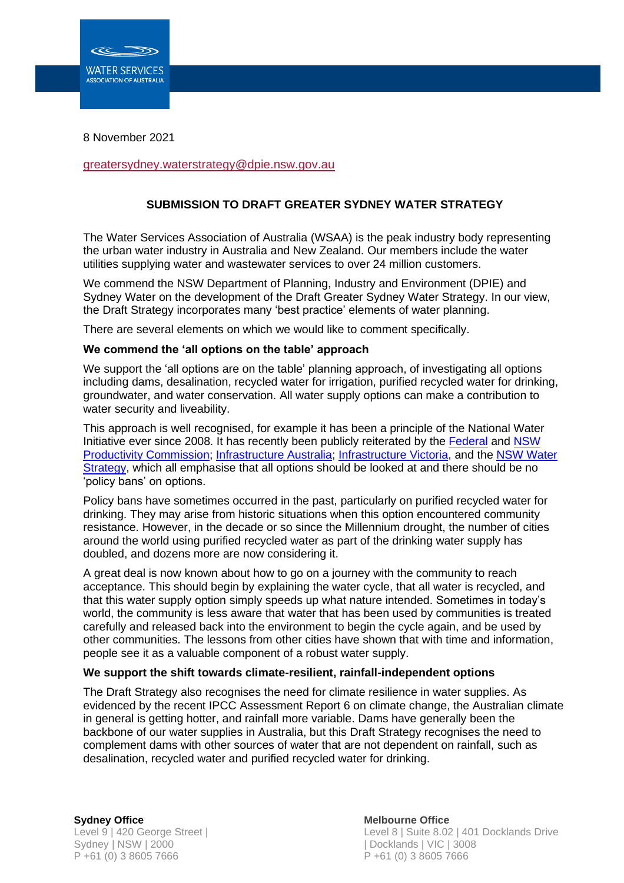

8 November 2021

### [greatersydney.waterstrategy@dpie.nsw.gov.au](mailto:greatersydney.waterstrategy@dpie.nsw.gov.au?subject=Question%20from%20website)

# **SUBMISSION TO DRAFT GREATER SYDNEY WATER STRATEGY**

The Water Services Association of Australia (WSAA) is the peak industry body representing the urban water industry in Australia and New Zealand. Our members include the water utilities supplying water and wastewater services to over 24 million customers.

We commend the NSW Department of Planning, Industry and Environment (DPIE) and Sydney Water on the development of the Draft Greater Sydney Water Strategy. In our view, the Draft Strategy incorporates many 'best practice' elements of water planning.

There are several elements on which we would like to comment specifically.

#### **We commend the 'all options on the table' approach**

We support the 'all options are on the table' planning approach, of investigating all options including dams, desalination, recycled water for irrigation, purified recycled water for drinking, groundwater, and water conservation. All water supply options can make a contribution to water security and liveability.

This approach is well recognised, for example it has been a principle of the National Water Initiative ever since 2008. It has recently been publicly reiterated by the [Federal](https://www.pc.gov.au/inquiries/completed/water-reform-2020/report) and [NSW](https://www.productivity.nsw.gov.au/sites/default/files/2021-06/Productivity%20Commission%20White%20Paper%202021.pdf)  [Productivity Commission;](https://www.productivity.nsw.gov.au/sites/default/files/2021-06/Productivity%20Commission%20White%20Paper%202021.pdf) [Infrastructure Australia;](https://infrastructuremagazine.com.au/2021/09/03/infrastructure-australia-launches-the-2021-australian-infrastructure-plan/) [Infrastructure Victoria,](https://www.infrastructurevictoria.com.au/wp-content/uploads/2021/08/1.-Victorias-infrastructure-strategy-2021-2051-Vol-1.pdf) and the [NSW Water](https://dpie.nsw.gov.au/water/plans-and-programs/nsw-water-strategy/the-strategy)  [Strategy,](https://dpie.nsw.gov.au/water/plans-and-programs/nsw-water-strategy/the-strategy) which all emphasise that all options should be looked at and there should be no 'policy bans' on options.

Policy bans have sometimes occurred in the past, particularly on purified recycled water for drinking. They may arise from historic situations when this option encountered community resistance. However, in the decade or so since the Millennium drought, the number of cities around the world using purified recycled water as part of the drinking water supply has doubled, and dozens more are now considering it.

A great deal is now known about how to go on a journey with the community to reach acceptance. This should begin by explaining the water cycle, that all water is recycled, and that this water supply option simply speeds up what nature intended. Sometimes in today's world, the community is less aware that water that has been used by communities is treated carefully and released back into the environment to begin the cycle again, and be used by other communities. The lessons from other cities have shown that with time and information, people see it as a valuable component of a robust water supply.

#### **We support the shift towards climate-resilient, rainfall-independent options**

The Draft Strategy also recognises the need for climate resilience in water supplies. As evidenced by the recent IPCC Assessment Report 6 on climate change, the Australian climate in general is getting hotter, and rainfall more variable. Dams have generally been the backbone of our water supplies in Australia, but this Draft Strategy recognises the need to complement dams with other sources of water that are not dependent on rainfall, such as desalination, recycled water and purified recycled water for drinking.

**Sydney Office** Level 9 | 420 George Street | Sydney | NSW | 2000 P +61 (0) 3 8605 7666

**Melbourne Office** Level 8 | Suite 8.02 | 401 Docklands Drive | Docklands | VIC | 3008 P +61 (0) 3 8605 7666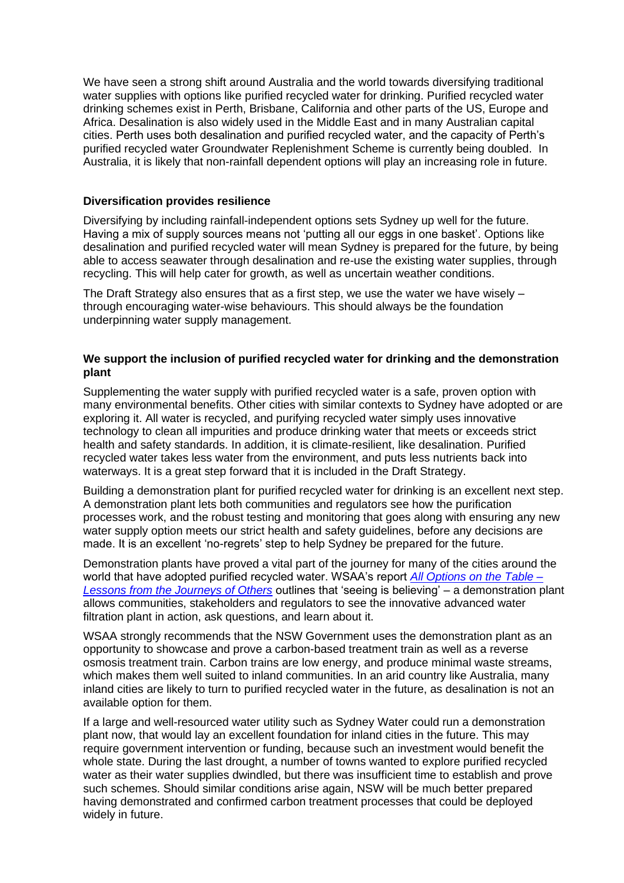We have seen a strong shift around Australia and the world towards diversifying traditional water supplies with options like purified recycled water for drinking. Purified recycled water drinking schemes exist in Perth, Brisbane, California and other parts of the US, Europe and Africa. Desalination is also widely used in the Middle East and in many Australian capital cities. Perth uses both desalination and purified recycled water, and the capacity of Perth's purified recycled water Groundwater Replenishment Scheme is currently being doubled. In Australia, it is likely that non-rainfall dependent options will play an increasing role in future.

### **Diversification provides resilience**

Diversifying by including rainfall-independent options sets Sydney up well for the future. Having a mix of supply sources means not 'putting all our eggs in one basket'. Options like desalination and purified recycled water will mean Sydney is prepared for the future, by being able to access seawater through desalination and re-use the existing water supplies, through recycling. This will help cater for growth, as well as uncertain weather conditions.

The Draft Strategy also ensures that as a first step, we use the water we have wisely  $$ through encouraging water-wise behaviours. This should always be the foundation underpinning water supply management.

## **We support the inclusion of purified recycled water for drinking and the demonstration plant**

Supplementing the water supply with purified recycled water is a safe, proven option with many environmental benefits. Other cities with similar contexts to Sydney have adopted or are exploring it. All water is recycled, and purifying recycled water simply uses innovative technology to clean all impurities and produce drinking water that meets or exceeds strict health and safety standards. In addition, it is climate-resilient, like desalination. Purified recycled water takes less water from the environment, and puts less nutrients back into waterways. It is a great step forward that it is included in the Draft Strategy.

Building a demonstration plant for purified recycled water for drinking is an excellent next step. A demonstration plant lets both communities and regulators see how the purification processes work, and the robust testing and monitoring that goes along with ensuring any new water supply option meets our strict health and safety guidelines, before any decisions are made. It is an excellent 'no-regrets' step to help Sydney be prepared for the future.

Demonstration plants have proved a vital part of the journey for many of the cities around the world that have adopted purified recycled water. WSAA's report *[All Options on the Table](https://www.wsaa.asn.au/sites/default/files/publication/download/WSAA%20All%20Options%20on%20the%20Table%20full%20report.pdf) – [Lessons from the Journeys of Others](https://www.wsaa.asn.au/sites/default/files/publication/download/WSAA%20All%20Options%20on%20the%20Table%20full%20report.pdf)* outlines that 'seeing is believing' – a demonstration plant allows communities, stakeholders and regulators to see the innovative advanced water filtration plant in action, ask questions, and learn about it.

WSAA strongly recommends that the NSW Government uses the demonstration plant as an opportunity to showcase and prove a carbon-based treatment train as well as a reverse osmosis treatment train. Carbon trains are low energy, and produce minimal waste streams, which makes them well suited to inland communities. In an arid country like Australia, many inland cities are likely to turn to purified recycled water in the future, as desalination is not an available option for them.

If a large and well-resourced water utility such as Sydney Water could run a demonstration plant now, that would lay an excellent foundation for inland cities in the future. This may require government intervention or funding, because such an investment would benefit the whole state. During the last drought, a number of towns wanted to explore purified recycled water as their water supplies dwindled, but there was insufficient time to establish and prove such schemes. Should similar conditions arise again, NSW will be much better prepared having demonstrated and confirmed carbon treatment processes that could be deployed widely in future.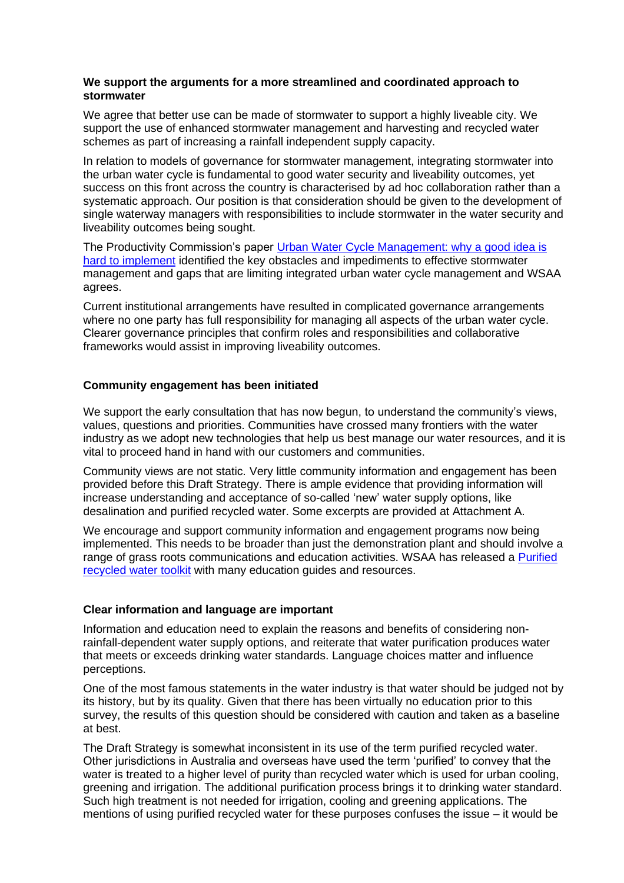## **We support the arguments for a more streamlined and coordinated approach to stormwater**

We agree that better use can be made of stormwater to support a highly liveable city. We support the use of enhanced stormwater management and harvesting and recycled water schemes as part of increasing a rainfall independent supply capacity.

In relation to models of governance for stormwater management, integrating stormwater into the urban water cycle is fundamental to good water security and liveability outcomes, yet success on this front across the country is characterised by ad hoc collaboration rather than a systematic approach. Our position is that consideration should be given to the development of single waterway managers with responsibilities to include stormwater in the water security and liveability outcomes being sought.

The Productivity Commission's paper [Urban Water Cycle Management: why a good idea is](https://www.pc.gov.au/research/completed/water-cycle#panel)  [hard to implement](https://www.pc.gov.au/research/completed/water-cycle#panel) identified the key obstacles and impediments to effective stormwater management and gaps that are limiting integrated urban water cycle management and WSAA agrees.

Current institutional arrangements have resulted in complicated governance arrangements where no one party has full responsibility for managing all aspects of the urban water cycle. Clearer governance principles that confirm roles and responsibilities and collaborative frameworks would assist in improving liveability outcomes.

# **Community engagement has been initiated**

We support the early consultation that has now begun, to understand the community's views, values, questions and priorities. Communities have crossed many frontiers with the water industry as we adopt new technologies that help us best manage our water resources, and it is vital to proceed hand in hand with our customers and communities.

Community views are not static. Very little community information and engagement has been provided before this Draft Strategy. There is ample evidence that providing information will increase understanding and acceptance of so-called 'new' water supply options, like desalination and purified recycled water. Some excerpts are provided at Attachment A.

We encourage and support community information and engagement programs now being implemented. This needs to be broader than just the demonstration plant and should involve a range of grass roots communications and education activities. WSAA has released a [Purified](https://www.wsaa.asn.au/all-options-table-toolkit-purified-recycled-water-drinking)  [recycled water toolkit](https://www.wsaa.asn.au/all-options-table-toolkit-purified-recycled-water-drinking) with many education guides and resources.

## **Clear information and language are important**

Information and education need to explain the reasons and benefits of considering nonrainfall-dependent water supply options, and reiterate that water purification produces water that meets or exceeds drinking water standards. Language choices matter and influence perceptions.

One of the most famous statements in the water industry is that water should be judged not by its history, but by its quality. Given that there has been virtually no education prior to this survey, the results of this question should be considered with caution and taken as a baseline at best.

The Draft Strategy is somewhat inconsistent in its use of the term purified recycled water. Other jurisdictions in Australia and overseas have used the term 'purified' to convey that the water is treated to a higher level of purity than recycled water which is used for urban cooling, greening and irrigation. The additional purification process brings it to drinking water standard. Such high treatment is not needed for irrigation, cooling and greening applications. The mentions of using purified recycled water for these purposes confuses the issue – it would be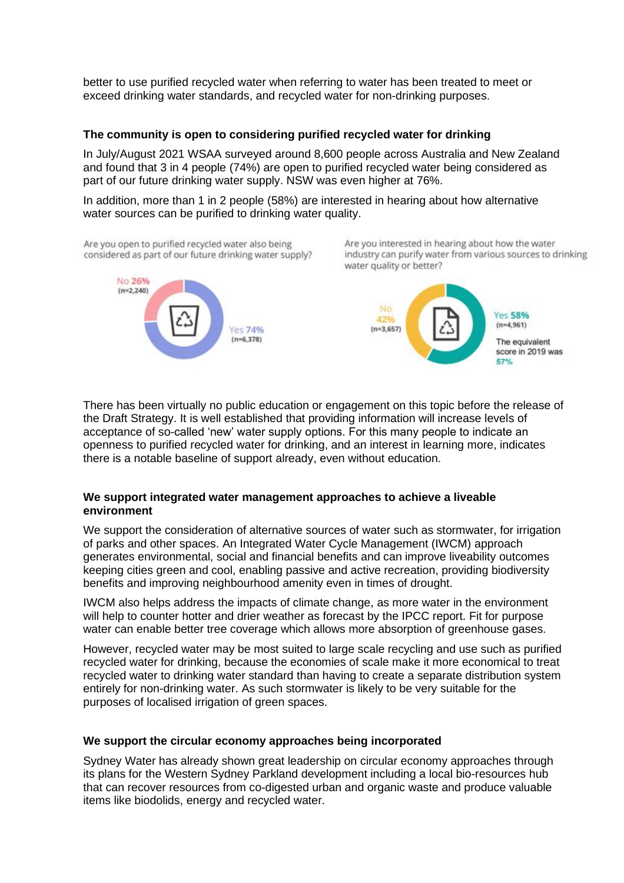better to use purified recycled water when referring to water has been treated to meet or exceed drinking water standards, and recycled water for non-drinking purposes.

## **The community is open to considering purified recycled water for drinking**

In July/August 2021 WSAA surveyed around 8,600 people across Australia and New Zealand and found that 3 in 4 people (74%) are open to purified recycled water being considered as part of our future drinking water supply. NSW was even higher at 76%.

In addition, more than 1 in 2 people (58%) are interested in hearing about how alternative water sources can be purified to drinking water quality.



There has been virtually no public education or engagement on this topic before the release of the Draft Strategy. It is well established that providing information will increase levels of acceptance of so-called 'new' water supply options. For this many people to indicate an openness to purified recycled water for drinking, and an interest in learning more, indicates there is a notable baseline of support already, even without education.

#### **We support integrated water management approaches to achieve a liveable environment**

We support the consideration of alternative sources of water such as stormwater, for irrigation of parks and other spaces. An Integrated Water Cycle Management (IWCM) approach generates environmental, social and financial benefits and can improve liveability outcomes keeping cities green and cool, enabling passive and active recreation, providing biodiversity benefits and improving neighbourhood amenity even in times of drought.

IWCM also helps address the impacts of climate change, as more water in the environment will help to counter hotter and drier weather as forecast by the IPCC report. Fit for purpose water can enable better tree coverage which allows more absorption of greenhouse gases.

However, recycled water may be most suited to large scale recycling and use such as purified recycled water for drinking, because the economies of scale make it more economical to treat recycled water to drinking water standard than having to create a separate distribution system entirely for non-drinking water. As such stormwater is likely to be very suitable for the purposes of localised irrigation of green spaces.

## **We support the circular economy approaches being incorporated**

Sydney Water has already shown great leadership on circular economy approaches through its plans for the Western Sydney Parkland development including a local bio-resources hub that can recover resources from co-digested urban and organic waste and produce valuable items like biodolids, energy and recycled water.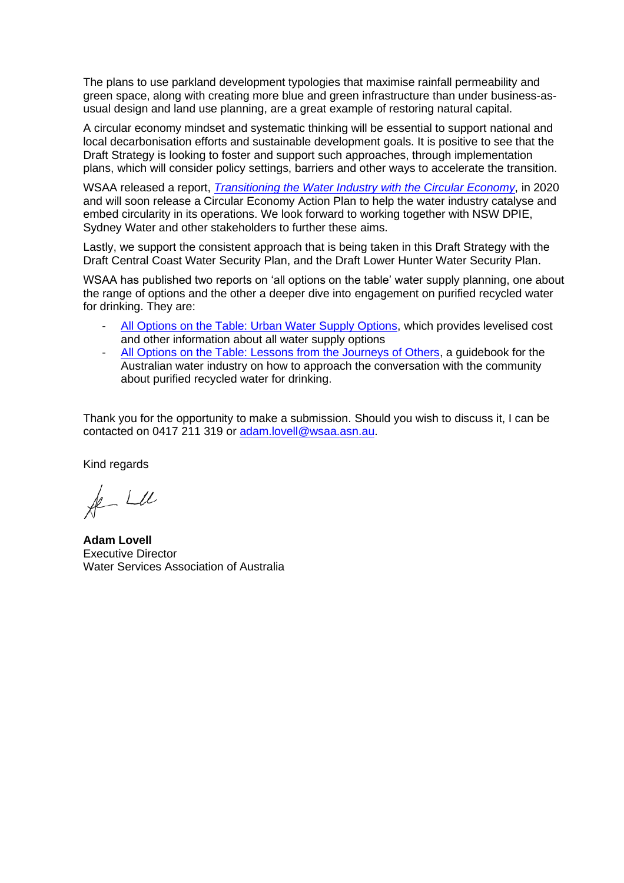The plans to use parkland development typologies that maximise rainfall permeability and green space, along with creating more blue and green infrastructure than under business-asusual design and land use planning, are a great example of restoring natural capital.

A circular economy mindset and systematic thinking will be essential to support national and local decarbonisation efforts and sustainable development goals. It is positive to see that the Draft Strategy is looking to foster and support such approaches, through implementation plans, which will consider policy settings, barriers and other ways to accelerate the transition.

WSAA released a report, *[Transitioning the Water Industry with the Circular Economy](https://www.wsaa.asn.au/sites/default/files/publication/download/Transitioning%20the%20water%20industry%20with%20the%20circular%20economy%20FINAL%2012102020.pdf)*, in 2020 and will soon release a Circular Economy Action Plan to help the water industry catalyse and embed circularity in its operations. We look forward to working together with NSW DPIE, Sydney Water and other stakeholders to further these aims.

Lastly, we support the consistent approach that is being taken in this Draft Strategy with the Draft Central Coast Water Security Plan, and the Draft Lower Hunter Water Security Plan.

WSAA has published two reports on 'all options on the table' water supply planning, one about the range of options and the other a deeper dive into engagement on purified recycled water for drinking. They are:

- [All Options on the Table: Urban Water Supply Options,](https://www.wsaa.asn.au/sites/default/files/publication/download/FINAL%20Urban%20water%20supply%20options%20for%20Australia.pdf) which provides levelised cost and other information about all water supply options
- [All Options on the Table: Lessons from the Journeys of Others,](https://www.wsaa.asn.au/sites/default/files/publication/download/WSAA%20All%20Options%20on%20the%20Table%20full%20report.pdf) a guidebook for the Australian water industry on how to approach the conversation with the community about purified recycled water for drinking.

Thank you for the opportunity to make a submission. Should you wish to discuss it, I can be contacted on 0417 211 319 or [adam.lovell@wsaa.asn.au.](mailto:adam.lovell@wsaa.asn.au)

Kind regards

 $l$  LU

**Adam Lovell** Executive Director Water Services Association of Australia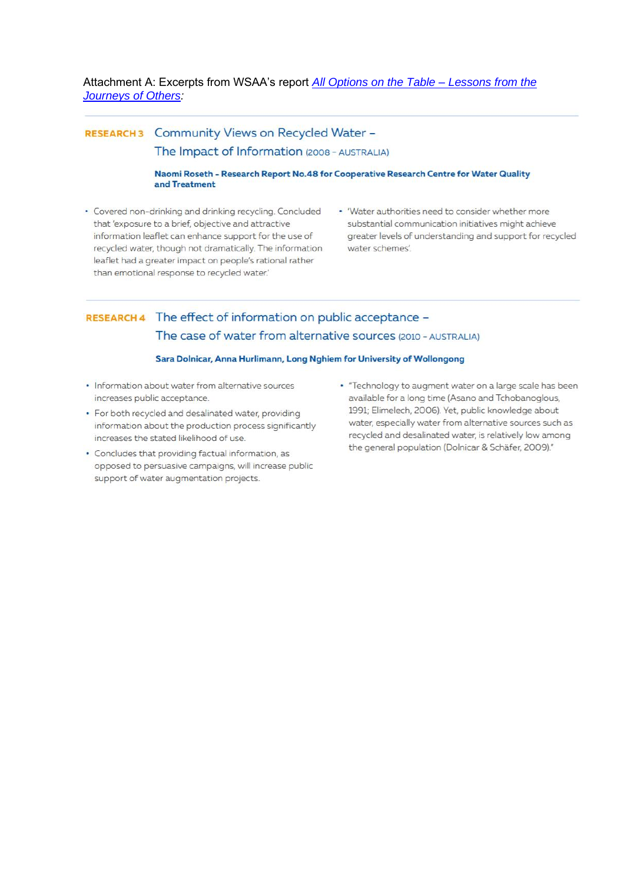Attachment A: Excerpts from WSAA's report All Options on the Table - Lessons from the Journeys of Others:

# RESEARCH3 Community Views on Recycled Water -The Impact of Information (2008 - AUSTRALIA)

#### Naomi Roseth - Research Report No.48 for Cooperative Research Centre for Water Quality and Treatment

- Covered non-drinking and drinking recycling. Concluded that 'exposure to a brief, objective and attractive information leaflet can enhance support for the use of recycled water, though not dramatically. The information leaflet had a greater impact on people's rational rather than emotional response to recycled water.'
- 'Water authorities need to consider whether more substantial communication initiatives might achieve greater levels of understanding and support for recycled water schemes'.

# RESEARCH 4 The effect of information on public acceptance -The case of water from alternative sources (2010 - AUSTRALIA)

#### Sara Dolnicar, Anna Hurlimann, Long Nghiem for University of Wollongong

- Information about water from alternative sources increases public acceptance.
- · For both recycled and desalinated water, providing information about the production process significantly increases the stated likelihood of use.
- Concludes that providing factual information, as opposed to persuasive campaigns, will increase public support of water augmentation projects.
- · "Technology to augment water on a large scale has been available for a long time (Asano and Tchobanoglous, 1991; Elimelech, 2006). Yet, public knowledge about water, especially water from alternative sources such as recycled and desalinated water, is relatively low among the general population (Dolnicar & Schäfer, 2009)."